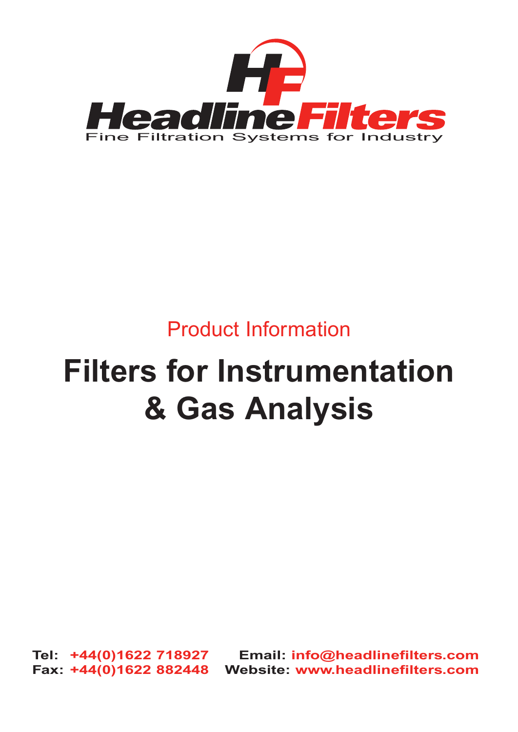

# Product Information

# **Filters for Instrumentation & Gas Analysis**

**Tel: +44(0)1622 718927 Email: info@headlinefilters.com Fax: +44(0)1622 882448 Website: www.headlinefilters.com**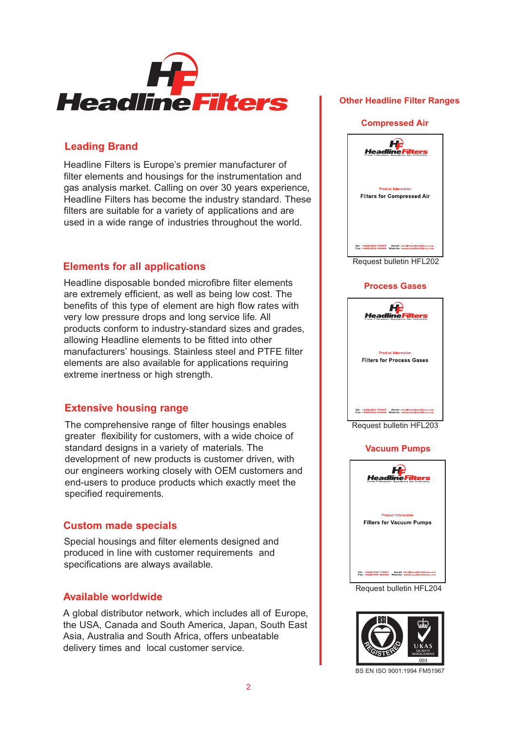

#### **Leading Brand**

Headline Filters is Europe's premier manufacturer of filter elements and housings for the instrumentation and gas analysis market. Calling on over 30 years experience, Headline Filters has become the industry standard. These filters are suitable for a variety of applications and are used in a wide range of industries throughout the world.

### **Elements for all applications**

Headline disposable bonded microfibre filter elements are extremely efficient, as well as being low cost. The benefits of this type of element are high flow rates with very low pressure drops and long service life. All products conform to industry-standard sizes and grades, allowing Headline elements to be fitted into other manufacturers' housings. Stainless steel and PTFE filter elements are also available for applications requiring extreme inertness or high strength.

### **Extensive housing range**

The comprehensive range of filter housings enables greater flexibility for customers, with a wide choice of standard designs in a variety of materials. The development of new products is customer driven, with our engineers working closely with OEM customers and end-users to produce products which exactly meet the specified requirements.

### **Custom made specials**

Special housings and filter elements designed and produced in line with customer requirements and specifications are always available.

### **Available worldwide**

A global distributor network, which includes all of Europe, the USA, Canada and South America, Japan, South East Asia, Australia and South Africa, offers unbeatable delivery times and local customer service.

#### **Other Headline Filter Ranges**

#### **Compressed Air**



Request bulletin HFL202

#### **Process Gases**



Request bulletin HFL203

#### **Vacuum Pumps**



Request bulletin HFL204



BS EN ISO 9001:1994 FM51967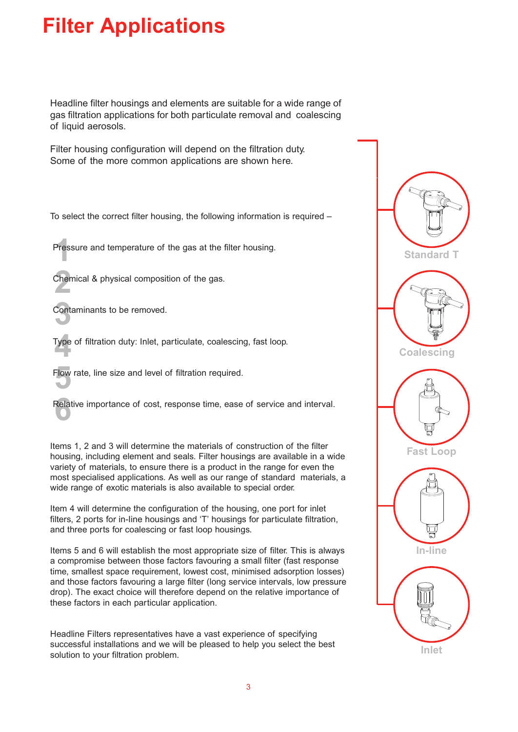# **Filter Applications**

Headline filter housings and elements are suitable for a wide range of gas filtration applications for both particulate removal and coalescing of liquid aerosols.

Filter housing configuration will depend on the filtration duty. Some of the more common applications are shown here.

To select the correct filter housing, the following information is required –

Pres:<br><u>|</u> Pressure and temperature of the gas at the filter housing.

**2**<br>22 Chemical & physical composition of the gas.

**3**<br>Contaminants to be removed.

**4** Type of filtration duty: Inlet, particulate, coalescing, fast loop.

Flow rate, line size and level of filtration required.

Relative importance of cost, response time, ease of service and interval.

Items 1, 2 and 3 will determine the materials of construction of the filter housing, including element and seals. Filter housings are available in a wide variety of materials, to ensure there is a product in the range for even the most specialised applications. As well as our range of standard materials, a wide range of exotic materials is also available to special order.

Item 4 will determine the configuration of the housing, one port for inlet filters, 2 ports for in-Iine housings and 'T' housings for particulate filtration, and three ports for coalescing or fast loop housings.

Items 5 and 6 will establish the most appropriate size of filter. This is always a compromise between those factors favouring a small filter (fast response time, smallest space requirement, lowest cost, minimised adsorption losses) and those factors favouring a large filter (long service intervals, low pressure drop). The exact choice will therefore depend on the relative importance of these factors in each particular application.

Headline Filters representatives have a vast experience of specifying successful installations and we will be pleased to help you select the best solution to your filtration problem.

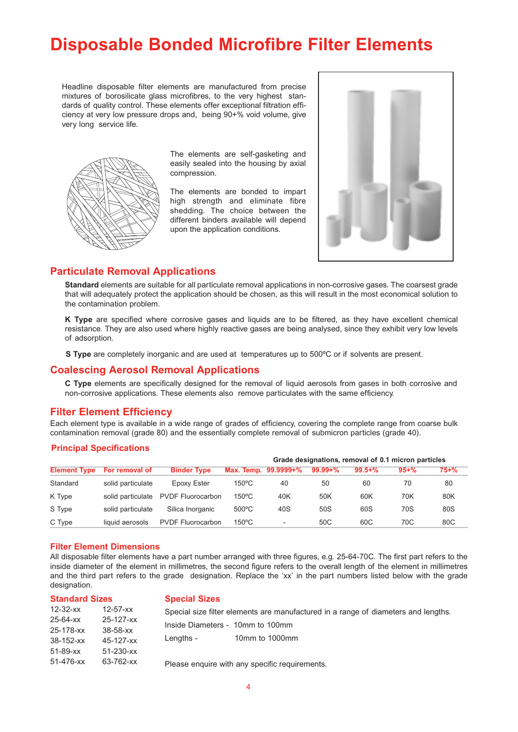# **Disposable Bonded Microfibre Filter Elements**

Headline disposable filter elements are manufactured from precise mixtures of borosilicate glass microfibres, to the very highest standards of quality control. These elements offer exceptional filtration efficiency at very low pressure drops and, being 90+% void volume, give very long service life.



The elements are self-gasketing and easily sealed into the housing by axial compression.

The elements are bonded to impart high strength and eliminate fibre shedding. The choice between the different binders available will depend upon the application conditions.



#### **Particulate Removal Applications**

**Standard** elements are suitable for all particulate removal applications in non-corrosive gases. The coarsest grade that will adequately protect the application should be chosen, as this will result in the most economical solution to the contamination problem.

**K Type** are specified where corrosive gases and liquids are to be filtered, as they have excellent chemical resistance. They are also used where highly reactive gases are being analysed, since they exhibit very low levels of adsorption.

**S Type** are completely inorganic and are used at temperatures up to 500ºC or if solvents are present.

#### **Coalescing Aerosol Removal Applications**

**C Type** elements are specifically designed for the removal of liquid aerosols from gases in both corrosive and non-corrosive applications. These elements also remove particulates with the same efficiency.

#### **Filter Element Efficiency**

Each element type is available in a wide range of grades of efficiency, covering the complete range from coarse bulk contamination removal (grade 80) and the essentially complete removal of submicron particles (grade 40).

#### **Principal Specifications**

|                     |                   |                          |                 |                          | Grade designations, removal of 0.1 micron particles |             |           |           |
|---------------------|-------------------|--------------------------|-----------------|--------------------------|-----------------------------------------------------|-------------|-----------|-----------|
| <b>Element Type</b> | For removal of    | <b>Binder Type</b>       |                 | Max. Temp. 99.9999+%     | $99.99 + \%$                                        | $99.5 + \%$ | $95 + \%$ | $75 + \%$ |
| Standard            | solid particulate | Epoxy Ester              | $150^{\circ}$ C | 40                       | 50                                                  | 60          | 70        | 80        |
| K Type              | solid particulate | <b>PVDF Fluorocarbon</b> | $150^{\circ}$ C | 40K                      | 50K                                                 | 60K         | 70K       | 80K       |
| S Type              | solid particulate | Silica Inorganic         | $500^{\circ}$ C | 40S                      | 50S                                                 | 60S         | 70S       | 80S       |
| C Type              | liquid aerosols   | <b>PVDF Fluorocarbon</b> | $150^{\circ}$ C | $\overline{\phantom{0}}$ | 50C                                                 | 60C         | 70C       | 80C       |

#### **Filter Element Dimensions**

All disposable filter elements have a part number arranged with three figures, e.g. 25-64-70C. The first part refers to the inside diameter of the element in millimetres, the second figure refers to the overall length of the element in millimetres and the third part refers to the grade designation. Replace the 'xx' in the part numbers listed below with the grade designation.

| <b>Standard Sizes</b> |                 | <b>Special Sizes</b>             |                                                                                    |  |  |  |
|-----------------------|-----------------|----------------------------------|------------------------------------------------------------------------------------|--|--|--|
| 12-32-xx              | $12 - 57 - xx$  |                                  | Special size filter elements are manufactured in a range of diameters and lengths. |  |  |  |
| 25-64-xx              | 25-127-xx       | Inside Diameters - 10mm to 100mm |                                                                                    |  |  |  |
| 25-178-xx             | $38 - 58 - xx$  |                                  |                                                                                    |  |  |  |
| 38-152-xx             | 45-127-xx       | Lengths -                        | 10mm to 1000mm                                                                     |  |  |  |
| 51-89-xx              | $51 - 230 - xx$ |                                  |                                                                                    |  |  |  |
| 51-476-xx             | 63-762-xx       |                                  | Please enquire with any specific requirements.                                     |  |  |  |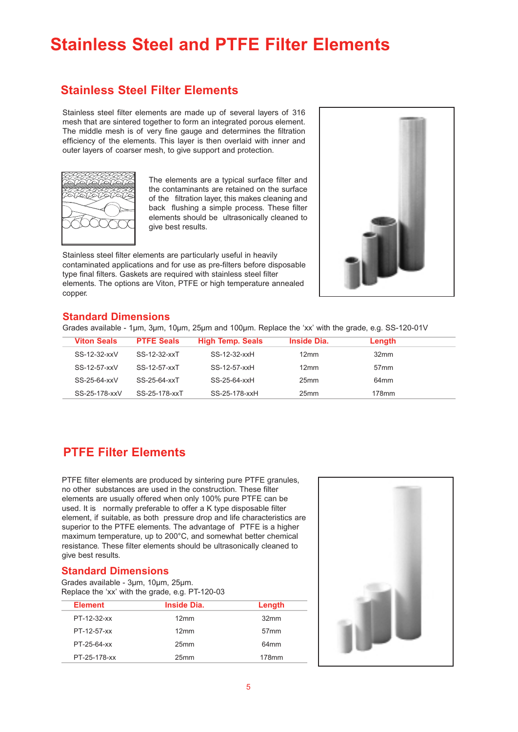# **Stainless Steel and PTFE Filter Elements**

### **Stainless Steel Filter Elements**

Stainless steel filter elements are made up of several layers of 316 mesh that are sintered together to form an integrated porous element. The middle mesh is of very fine gauge and determines the filtration efficiency of the elements. This layer is then overlaid with inner and outer layers of coarser mesh, to give support and protection.



The elements are a typical surface filter and the contaminants are retained on the surface of the filtration layer, this makes cleaning and back flushing a simple process. These filter elements should be ultrasonically cleaned to give best results.

Stainless steel filter elements are particularly useful in heavily contaminated applications and for use as pre-filters before disposable type final filters. Gaskets are required with stainless steel filter elements. The options are Viton, PTFE or high temperature annealed copper.



#### **Standard Dimensions**

Grades available - 1µm, 3µm, 10µm, 25µm and 100µm. Replace the 'xx' with the grade, e.g. SS-120-01V

| <b>Viton Seals</b> | <b>PTFE Seals</b> | <b>High Temp. Seals</b> | <b>Inside Dia.</b> | Length           |  |
|--------------------|-------------------|-------------------------|--------------------|------------------|--|
| SS-12-32-xxV       | SS-12-32-xxT      | SS-12-32-xxH            | 12mm               | 32 <sub>mm</sub> |  |
| SS-12-57-xxV       | SS-12-57-xxT      | SS-12-57-xxH            | 12mm               | 57 <sub>mm</sub> |  |
| SS-25-64-xxV       | SS-25-64-xxT      | SS-25-64-xxH            | 25 <sub>mm</sub>   | 64 <sub>mm</sub> |  |
| SS-25-178-xxV      | SS-25-178-xxT     | SS-25-178-xxH           | 25 <sub>mm</sub>   | 178mm            |  |

### **PTFE Filter Elements**

PTFE filter elements are produced by sintering pure PTFE granules, no other substances are used in the construction. These filter elements are usually offered when only 100% pure PTFE can be used. It is normally preferable to offer a K type disposable filter element, if suitable, as both pressure drop and life characteristics are superior to the PTFE elements. The advantage of PTFE is a higher maximum temperature, up to 200°C, and somewhat better chemical resistance. These filter elements should be ultrasonically cleaned to give best results.

#### **Standard Dimensions**

Grades available - 3µm, 10µm, 25µm. Replace the 'xx' with the grade, e.g. PT-120-03

| <b>Element</b> | <b>Inside Dia.</b> | Length           |
|----------------|--------------------|------------------|
| PT-12-32-xx    | 12mm               | 32mm             |
| PT-12-57-xx    | 12mm               | 57 <sub>mm</sub> |
| PT-25-64-xx    | 25 <sub>mm</sub>   | 64 <sub>mm</sub> |
| PT-25-178-xx   | 25 <sub>mm</sub>   | 178mm            |

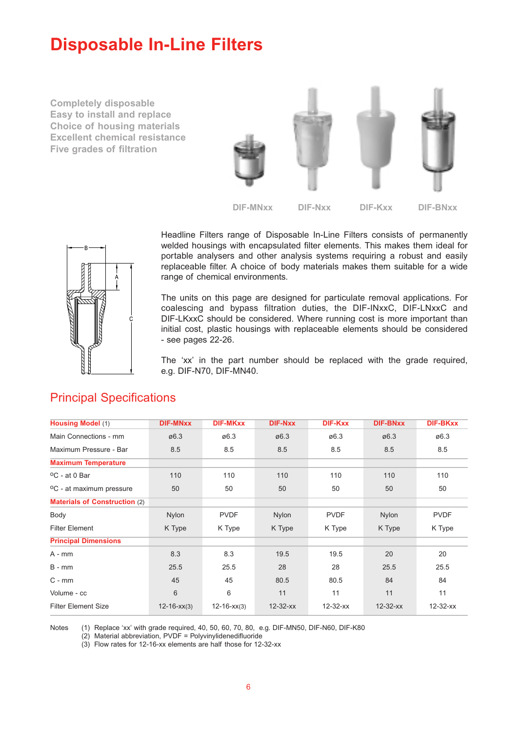# **Disposable In-Line Filters**

**Completely disposable Easy to install and replace Choice of housing materials Excellent chemical resistance Five grades of filtration**





Headline Filters range of Disposable In-Line Filters consists of permanently welded housings with encapsulated filter elements. This makes them ideal for portable analysers and other analysis systems requiring a robust and easily replaceable filter. A choice of body materials makes them suitable for a wide range of chemical environments.

The units on this page are designed for particulate removal applications. For coalescing and bypass filtration duties, the DIF-INxxC, DIF-LNxxC and DIF-LKxxC should be considered. Where running cost is more important than initial cost, plastic housings with replaceable elements should be considered - see pages 22-26.

The 'xx' in the part number should be replaced with the grade required, e.g. DIF-N70, DIF-MN40.

| <b>Housing Model (1)</b>             | <b>DIF-MNxx</b>   | <b>DIF-MKxx</b>   | <b>DIF-Nxx</b> | <b>DIF-Kxx</b> | <b>DIF-BNxx</b> | <b>DIF-BKxx</b> |
|--------------------------------------|-------------------|-------------------|----------------|----------------|-----------------|-----------------|
| Main Connections - mm                | ø6.3              | ø6.3              | ø6.3           | ø6.3           | ø6.3            | ø6.3            |
| Maximum Pressure - Bar               | 8.5               | 8.5               | 8.5            | 8.5            | 8.5             | 8.5             |
| <b>Maximum Temperature</b>           |                   |                   |                |                |                 |                 |
| $^{\circ}$ C - at 0 Bar              | 110               | 110               | 110            | 110            | 110             | 110             |
| <sup>o</sup> C - at maximum pressure | 50                | 50                | 50             | 50             | 50              | 50              |
| <b>Materials of Construction (2)</b> |                   |                   |                |                |                 |                 |
| Body                                 | <b>Nylon</b>      | <b>PVDF</b>       | Nylon          | <b>PVDF</b>    | <b>Nylon</b>    | <b>PVDF</b>     |
| <b>Filter Element</b>                | K Type            | K Type            | K Type         | K Type         | K Type          | K Type          |
| <b>Principal Dimensions</b>          |                   |                   |                |                |                 |                 |
| $A - mm$                             | 8.3               | 8.3               | 19.5           | 19.5           | 20              | 20              |
| $B - mm$                             | 25.5              | 25.5              | 28             | 28             | 25.5            | 25.5            |
| $C - mm$                             | 45                | 45                | 80.5           | 80.5           | 84              | 84              |
| Volume - cc                          | 6                 | 6                 | 11             | 11             | 11              | 11              |
| <b>Filter Element Size</b>           | $12 - 16 - xx(3)$ | $12 - 16 - xx(3)$ | $12 - 32 - xx$ | $12 - 32 - xx$ | $12 - 32 - xx$  | $12 - 32 - xx$  |

### Principal Specifications

Notes (1) Replace 'xx' with grade required, 40, 50, 60, 70, 80, e.g. DIF-MN50, DIF-N60, DIF-K80

(2) Material abbreviation, PVDF = Polyvinylidenedifluoride

(3) Flow rates for 12-16-xx elements are half those for 12-32-xx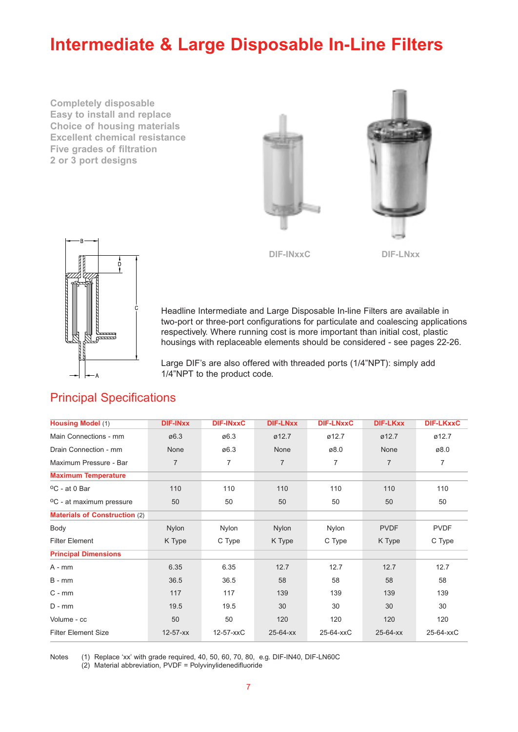# **Intermediate & Large Disposable In-Line Filters**

**Completely disposable Easy to install and replace Choice of housing materials Excellent chemical resistance Five grades of filtration 2 or 3 port designs**





Headline Intermediate and Large Disposable In-line Filters are available in two-port or three-port configurations for particulate and coalescing applications respectively. Where running cost is more important than initial cost, plastic housings with replaceable elements should be considered - see pages 22-26.

Large DIF's are also offered with threaded ports (1/4"NPT): simply add 1/4"NPT to the product code.

| <b>Housing Model (1)</b>             | <b>DIF-INXX</b> | <b>DIF-INXXC</b> | <b>DIF-LNxx</b> | <b>DIF-LNxxC</b> | <b>DIF-LKxx</b> | <b>DIF-LKxxC</b> |
|--------------------------------------|-----------------|------------------|-----------------|------------------|-----------------|------------------|
| Main Connections - mm                | ø6.3            | ø6.3             | ø12.7           | ø12.7            | Ø12.7           | ø12.7            |
| Drain Connection - mm                | None            | ø6.3             | None            | ø8.0             | None            | ø8.0             |
| Maximum Pressure - Bar               | $\overline{7}$  | 7                | $\overline{7}$  | 7                | $\overline{7}$  | $\overline{7}$   |
| <b>Maximum Temperature</b>           |                 |                  |                 |                  |                 |                  |
| <sup>o</sup> C - at 0 Bar            | 110             | 110              | 110             | 110              | 110             | 110              |
| <sup>o</sup> C - at maximum pressure | 50              | 50               | 50              | 50               | 50              | 50               |
| <b>Materials of Construction (2)</b> |                 |                  |                 |                  |                 |                  |
| Body                                 | <b>Nylon</b>    | Nylon            | <b>Nylon</b>    | <b>Nylon</b>     | <b>PVDF</b>     | <b>PVDF</b>      |
| <b>Filter Element</b>                | K Type          | C Type           | K Type          | C Type           | K Type          | C Type           |
| <b>Principal Dimensions</b>          |                 |                  |                 |                  |                 |                  |
| $A - mm$                             | 6.35            | 6.35             | 12.7            | 12.7             | 12.7            | 12.7             |
| $B - mm$                             | 36.5            | 36.5             | 58              | 58               | 58              | 58               |
| $C - mm$                             | 117             | 117              | 139             | 139              | 139             | 139              |
| $D - mm$                             | 19.5            | 19.5             | 30              | 30               | 30              | 30               |
| Volume - cc                          | 50              | 50               | 120             | 120              | 120             | 120              |
| <b>Filter Element Size</b>           | $12 - 57 - xx$  | 12-57-xxC        | $25 - 64 - xx$  | 25-64-xxC        | $25 - 64 - xx$  | 25-64-xxC        |

### Principal Specifications

Notes (1) Replace 'xx' with grade required, 40, 50, 60, 70, 80, e.g. DIF-IN40, DIF-LN60C (2) Material abbreviation, PVDF = Polyvinylidenedifluoride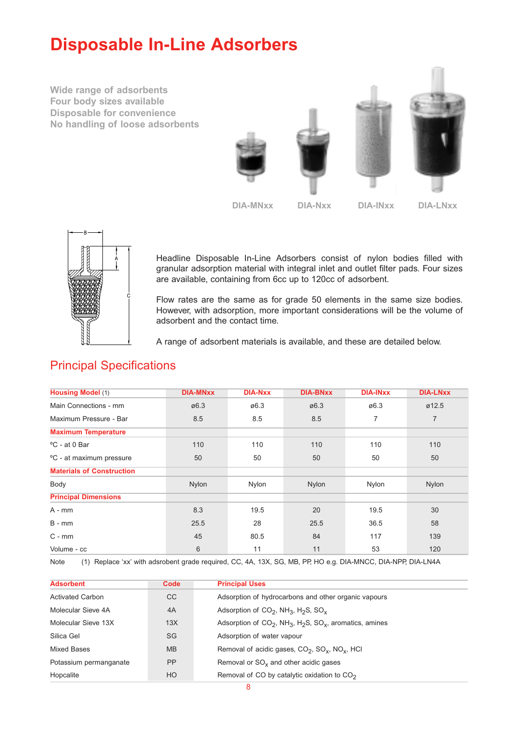# **Disposable In-Line Adsorbers**

**Wide range of adsorbents Four body sizes available Disposable for convenience No handling of loose adsorbents**



**DIA-MNxx DIA-Nxx DIA-INxx DIA-LNxx**



Headline Disposable In-Line Adsorbers consist of nylon bodies filled with granular adsorption material with integral inlet and outlet filter pads. Four sizes are available, containing from 6cc up to 120cc of adsorbent.

Flow rates are the same as for grade 50 elements in the same size bodies. However, with adsorption, more important considerations will be the volume of adsorbent and the contact time.

A range of adsorbent materials is available, and these are detailed below.

| <b>Housing Model (1)</b>         | <b>DIA-MNxx</b> | <b>DIA-Nxx</b> | <b>DIA-BNxx</b>   | <b>DIA-INXX</b> | <b>DIA-LNxx</b>    |
|----------------------------------|-----------------|----------------|-------------------|-----------------|--------------------|
| Main Connections - mm            | ø6.3            | ø6.3           | $\varnothing$ 6.3 | ø6.3            | $\varnothing$ 12.5 |
| Maximum Pressure - Bar           | 8.5             | 8.5            | 8.5               | $\overline{7}$  | 7                  |
| <b>Maximum Temperature</b>       |                 |                |                   |                 |                    |
| °C - at 0 Bar                    | 110             | 110            | 110               | 110             | 110                |
| °C - at maximum pressure         | 50              | 50             | 50                | 50              | 50                 |
| <b>Materials of Construction</b> |                 |                |                   |                 |                    |
| Body                             | Nylon           | Nylon          | Nylon             | Nylon           | Nylon              |
| <b>Principal Dimensions</b>      |                 |                |                   |                 |                    |
| A - mm                           | 8.3             | 19.5           | 20                | 19.5            | 30                 |
| $B - mm$                         | 25.5            | 28             | 25.5              | 36.5            | 58                 |
| $C - mm$                         | 45              | 80.5           | 84                | 117             | 139                |
| Volume - cc                      | 6               | 11             | 11                | 53              | 120                |

### Principal Specifications

Note (1) Replace 'xx' with adsrobent grade required, CC, 4A, 13X, SG, MB, PP, HO e.g. DIA-MNCC, DIA-NPP, DIA-LN4A

| <b>Adsorbent</b>        | Code      | <b>Principal Uses</b>                                                                          |
|-------------------------|-----------|------------------------------------------------------------------------------------------------|
| <b>Activated Carbon</b> | CC        | Adsorption of hydrocarbons and other organic vapours                                           |
| Molecular Sieve 4A      | 4A        | Adsorption of $CO2$ , NH <sub>3</sub> , H <sub>2</sub> S, SO <sub>v</sub>                      |
| Molecular Sieve 13X     | 13X       | Adsorption of $CO_2$ , NH <sub>3</sub> , H <sub>2</sub> S, SO <sub>x</sub> , aromatics, amines |
| Silica Gel              | SG        | Adsorption of water vapour                                                                     |
| Mixed Bases             | <b>MB</b> | Removal of acidic gases, CO <sub>2</sub> , SO <sub>x</sub> , NO <sub>x</sub> , HCI             |
| Potassium permanganate  | <b>PP</b> | Removal or $SO_{v}$ and other acidic gases                                                     |
| Hopcalite               | HO        | Removal of CO by catalytic oxidation to $CO2$                                                  |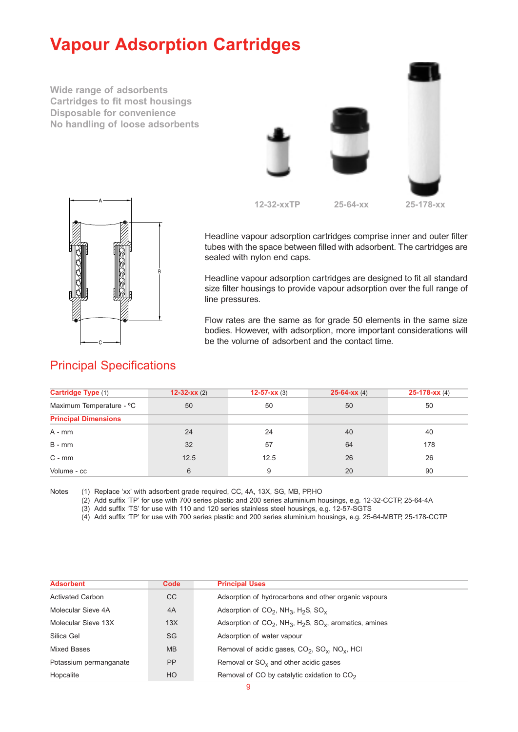# **Vapour Adsorption Cartridges**

**Wide range of adsorbents Cartridges to fit most housings Disposable for convenience No handling of loose adsorbents**





Headline vapour adsorption cartridges comprise inner and outer filter tubes with the space between filled with adsorbent. The cartridges are sealed with nylon end caps.

Headline vapour adsorption cartridges are designed to fit all standard size filter housings to provide vapour adsorption over the full range of line pressures.

Flow rates are the same as for grade 50 elements in the same size bodies. However, with adsorption, more important considerations will be the volume of adsorbent and the contact time.

### Principal Specifications

| Cartridge Type (1)          | 12-32- $xx(2)$ | $12-57-xx(3)$ | $25-64-xx(4)$ | $25-178-xx(4)$ |
|-----------------------------|----------------|---------------|---------------|----------------|
| Maximum Temperature - °C    | 50             | 50            | 50            | 50             |
| <b>Principal Dimensions</b> |                |               |               |                |
| $A - mm$                    | 24             | 24            | 40            | 40             |
| $B - mm$                    | 32             | 57            | 64            | 178            |
| $C - mm$                    | 12.5           | 12.5          | 26            | 26             |
| Volume - cc                 | 6              | 9             | 20            | 90             |

Notes (1) Replace 'xx' with adsorbent grade required, CC, 4A, 13X, SG, MB, PP,HO

(2) Add suffix 'TP' for use with 700 series plastic and 200 series aluminium housings, e.g. 12-32-CCTP, 25-64-4A

(3) Add suffix 'TS' for use with 110 and 120 series stainless steel housings, e.g. 12-57-SGTS

(4) Add suffix 'TP' for use with 700 series plastic and 200 series aluminium housings, e.g. 25-64-MBTP, 25-178-CCTP

| <b>Adsorbent</b>        | Code           | <b>Principal Uses</b>                                                                          |
|-------------------------|----------------|------------------------------------------------------------------------------------------------|
| <b>Activated Carbon</b> | CC             | Adsorption of hydrocarbons and other organic vapours                                           |
| Molecular Sieve 4A      | 4A             | Adsorption of $CO2$ , NH <sub>3</sub> , H <sub>2</sub> S, SO <sub>v</sub>                      |
| Molecular Sieve 13X     | 13X            | Adsorption of $CO_2$ , NH <sub>3</sub> , H <sub>2</sub> S, SO <sub>x</sub> , aromatics, amines |
| Silica Gel              | <b>SG</b>      | Adsorption of water vapour                                                                     |
| Mixed Bases             | <b>MB</b>      | Removal of acidic gases, CO <sub>2</sub> , SO <sub>x</sub> , NO <sub>x</sub> , HCI             |
| Potassium permanganate  | <b>PP</b>      | Removal or $SO_{x}$ and other acidic gases                                                     |
| Hopcalite               | H <sub>O</sub> | Removal of CO by catalytic oxidation to $CO2$                                                  |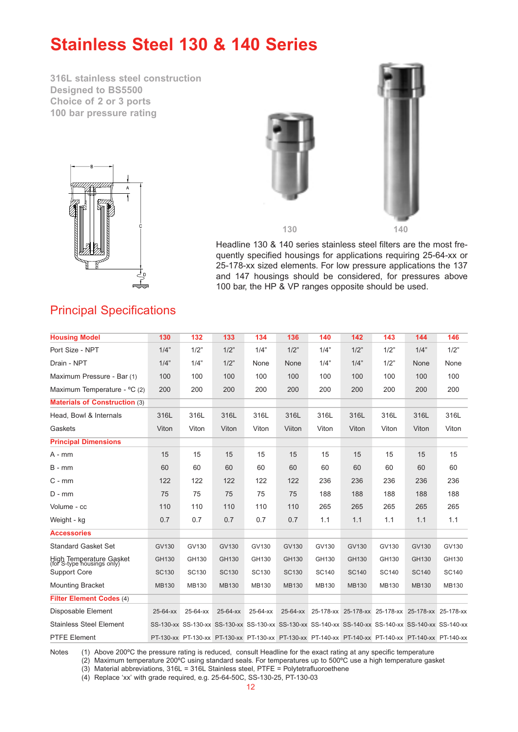# **Stainless Steel 130 & 140 Series**

**316L stainless steel construction Designed to BS5500 Choice of 2 or 3 ports 100 bar pressure rating**







Headline 130 & 140 series stainless steel filters are the most frequently specified housings for applications requiring 25-64-xx or 25-178-xx sized elements. For low pressure applications the 137 and 147 housings should be considered, for pressures above 100 bar, the HP & VP ranges opposite should be used.

### Principal Specifications

| <b>Housing Model</b>                                  | 130          | 132          | 133          | 134                                                                                                 | 136          | 140          | 142          | 143          | 144                                               | 146   |
|-------------------------------------------------------|--------------|--------------|--------------|-----------------------------------------------------------------------------------------------------|--------------|--------------|--------------|--------------|---------------------------------------------------|-------|
| Port Size - NPT                                       | 1/4"         | 1/2"         | 1/2"         | 1/4"                                                                                                | 1/2"         | 1/4"         | 1/2"         | 1/2"         | 1/4"                                              | 1/2"  |
| Drain - NPT                                           | 1/4"         | 1/4"         | 1/2"         | None                                                                                                | None         | 1/4"         | 1/4"         | 1/2"         | None                                              | None  |
| Maximum Pressure - Bar (1)                            | 100          | 100          | 100          | 100                                                                                                 | 100          | 100          | 100          | 100          | 100                                               | 100   |
| Maximum Temperature - °C (2)                          | 200          | 200          | 200          | 200                                                                                                 | 200          | 200          | 200          | 200          | 200                                               | 200   |
| <b>Materials of Construction (3)</b>                  |              |              |              |                                                                                                     |              |              |              |              |                                                   |       |
| Head, Bowl & Internals                                | 316L         | 316L         | 316L         | 316L                                                                                                | 316L         | 316L         | 316L         | 316L         | 316L                                              | 316L  |
| Gaskets                                               | Viton        | Viton        | Viton        | Viton                                                                                               | Viiton       | Viton        | Viton        | Viton        | Viton                                             | Viton |
| <b>Principal Dimensions</b>                           |              |              |              |                                                                                                     |              |              |              |              |                                                   |       |
| $A - mm$                                              | 15           | 15           | 15           | 15                                                                                                  | 15           | 15           | 15           | 15           | 15                                                | 15    |
| $B - mm$                                              | 60           | 60           | 60           | 60                                                                                                  | 60           | 60           | 60           | 60           | 60                                                | 60    |
| $C - mm$                                              | 122          | 122          | 122          | 122                                                                                                 | 122          | 236          | 236          | 236          | 236                                               | 236   |
| $D - mm$                                              | 75           | 75           | 75           | 75                                                                                                  | 75           | 188          | 188          | 188          | 188                                               | 188   |
| Volume - cc                                           | 110          | 110          | 110          | 110                                                                                                 | 110          | 265          | 265          | 265          | 265                                               | 265   |
| Weight - kg                                           | 0.7          | 0.7          | 0.7          | 0.7                                                                                                 | 0.7          | 1.1          | 1.1          | 1.1          | 1.1                                               | 1.1   |
| <b>Accessories</b>                                    |              |              |              |                                                                                                     |              |              |              |              |                                                   |       |
| <b>Standard Gasket Set</b>                            | GV130        | GV130        | GV130        | GV130                                                                                               | GV130        | GV130        | GV130        | GV130        | GV130                                             | GV130 |
| High Temperature Gasket<br>(for S-type housings only) | GH130        | GH130        | GH130        | GH130                                                                                               | GH130        | GH130        | GH130        | GH130        | GH130                                             | GH130 |
| Support Core                                          | <b>SC130</b> | SC130        | <b>SC130</b> | SC130                                                                                               | <b>SC130</b> | <b>SC140</b> | <b>SC140</b> | <b>SC140</b> | <b>SC140</b>                                      | SC140 |
| <b>Mounting Bracket</b>                               | <b>MB130</b> | <b>MB130</b> | <b>MB130</b> | MB130                                                                                               | <b>MB130</b> | MB130        | <b>MB130</b> | MB130        | <b>MB130</b>                                      | MB130 |
| <b>Filter Element Codes (4)</b>                       |              |              |              |                                                                                                     |              |              |              |              |                                                   |       |
| Disposable Element                                    | 25-64-xx     | 25-64-xx     | 25-64-xx     | 25-64-xx                                                                                            | 25-64-xx     |              |              |              | 25-178-xx 25-178-xx 25-178-xx 25-178-xx 25-178-xx |       |
| <b>Stainless Steel Element</b>                        |              |              |              | SS-130-xx SS-130-xx SS-130-xx SS-130-xx SS-130-xx SS-140-xx SS-140-xx SS-140-xx SS-140-xx SS-140-xx |              |              |              |              |                                                   |       |
| <b>PTFE Element</b>                                   |              |              |              | PT-130-xx PT-130-xx PT-130-xx PT-130-xx PT-130-xx PT-140-xx PT-140-xx PT-140-xx PT-140-xx PT-140-xx |              |              |              |              |                                                   |       |

Notes (1) Above 200°C the pressure rating is reduced, consult Headline for the exact rating at any specific temperature

(2) Maximum temperature 200ºC using standard seals. For temperatures up to 500ºC use a high temperature gasket

(3) Material abbreviations, 316L = 316L Stainless steel, PTFE = Polytetrafluoroethene

(4) Replace 'xx' with grade required, e.g. 25-64-50C, SS-130-25, PT-130-03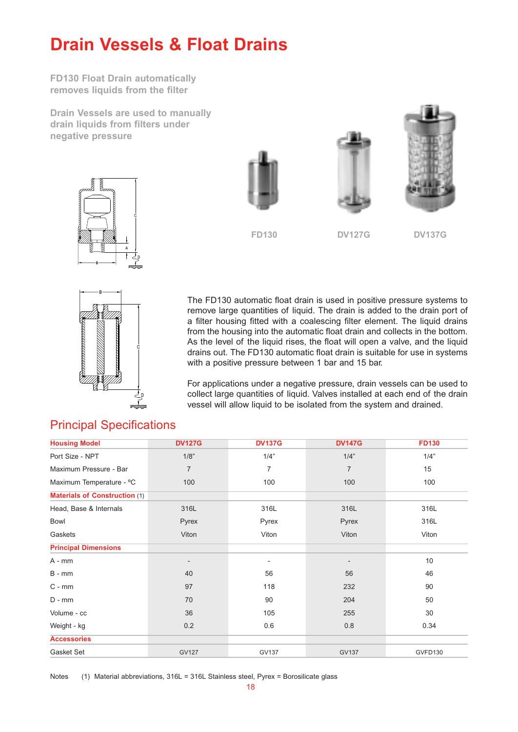# **Drain Vessels & Float Drains**

**FD130 Float Drain automatically removes liquids from the filter**

**Drain Vessels are used to manually drain liquids from filters under negative pressure**







**FD130**

**DV127G DV137G**



The FD130 automatic float drain is used in positive pressure systems to remove large quantities of liquid. The drain is added to the drain port of a filter housing fitted with a coalescing filter element. The liquid drains from the housing into the automatic float drain and collects in the bottom. As the level of the liquid rises, the float will open a valve, and the liquid drains out. The FD130 automatic float drain is suitable for use in systems with a positive pressure between 1 bar and 15 bar.

For applications under a negative pressure, drain vessels can be used to collect large quantities of liquid. Valves installed at each end of the drain vessel will allow liquid to be isolated from the system and drained.

| <b>Housing Model</b>                 | <b>DV127G</b>                | <b>DV137G</b>  | <b>DV147G</b>  | <b>FD130</b> |
|--------------------------------------|------------------------------|----------------|----------------|--------------|
| Port Size - NPT                      | 1/8"                         | 1/4"           | 1/4"           | 1/4"         |
| Maximum Pressure - Bar               | $\overline{7}$               | $\overline{7}$ | $\overline{7}$ | 15           |
| Maximum Temperature - °C             | 100                          | 100            | 100            | 100          |
| <b>Materials of Construction (1)</b> |                              |                |                |              |
| Head, Base & Internals               | 316L                         | 316L           | 316L           | 316L         |
| Bowl                                 | Pyrex                        | Pyrex          | Pyrex          | 316L         |
| Gaskets                              | Viton                        | Viton          | Viton          | Viton        |
| <b>Principal Dimensions</b>          |                              |                |                |              |
| $A - mm$                             | $\qquad \qquad \blacksquare$ |                |                | 10           |
| $B - mm$                             | 40                           | 56             | 56             | 46           |
| $C - mm$                             | 97                           | 118            | 232            | 90           |
| $D - mm$                             | 70                           | 90             | 204            | 50           |
| Volume - cc                          | 36                           | 105            | 255            | 30           |
| Weight - kg                          | 0.2                          | 0.6            | 0.8            | 0.34         |
| <b>Accessories</b>                   |                              |                |                |              |
| Gasket Set                           | <b>GV127</b>                 | GV137          | <b>GV137</b>   | GVFD130      |

### Principal Specifications

Notes (1) Material abbreviations, 316L = 316L Stainless steel, Pyrex = Borosilicate glass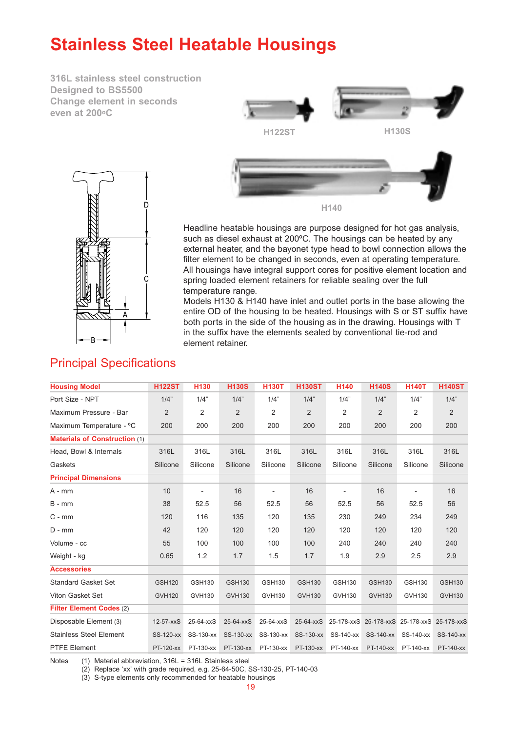# **Stainless Steel Heatable Housings**

**316L stainless steel construction Designed to BS5500 Change element in seconds even at 200oC**



Headline heatable housings are purpose designed for hot gas analysis, such as diesel exhaust at 200ºC. The housings can be heated by any external heater, and the bayonet type head to bowl connection allows the filter element to be changed in seconds, even at operating temperature. All housings have integral support cores for positive element location and spring loaded element retainers for reliable sealing over the full temperature range.

Models H130 & H140 have inlet and outlet ports in the base allowing the entire OD of the housing to be heated. Housings with S or ST suffix have both ports in the side of the housing as in the drawing. Housings with T in the suffix have the elements sealed by conventional tie-rod and element retainer.

| <b>Housing Model</b>                 | <b>H122ST</b> | <b>H130</b>              | <b>H130S</b>  | <b>H130T</b>                  | <b>H130ST</b> | H140                     | <b>H140S</b>  | <b>H140T</b>                                | <b>H140ST</b> |
|--------------------------------------|---------------|--------------------------|---------------|-------------------------------|---------------|--------------------------|---------------|---------------------------------------------|---------------|
| Port Size - NPT                      | 1/4"          | 1/4"                     | 1/4"          | 1/4"                          | 1/4"          | 1/4"                     | 1/4"          | 1/4"                                        | 1/4"          |
| Maximum Pressure - Bar               | 2             | $\overline{2}$           | 2             | 2                             | 2             | 2                        | 2             | $\overline{2}$                              | 2             |
| Maximum Temperature - °C             | 200           | 200                      | 200           | 200                           | 200           | 200                      | 200           | 200                                         | 200           |
| <b>Materials of Construction (1)</b> |               |                          |               |                               |               |                          |               |                                             |               |
| Head, Bowl & Internals               | 316L          | 316L                     | 316L          | 316L                          | 316L          | 316L                     | 316L          | 316L                                        | 316L          |
| Gaskets                              | Silicone      | Silicone                 | Silicone      | Silicone                      | Silicone      | Silicone                 | Silicone      | Silicone                                    | Silicone      |
| <b>Principal Dimensions</b>          |               |                          |               |                               |               |                          |               |                                             |               |
| $A - mm$                             | 10            | $\overline{\phantom{a}}$ | 16            |                               | 16            | $\overline{\phantom{a}}$ | 16            | $\overline{\phantom{a}}$                    | 16            |
| $B - mm$                             | 38            | 52.5                     | 56            | 52.5                          | 56            | 52.5                     | 56            | 52.5                                        | 56            |
| $C - mm$                             | 120           | 116                      | 135           | 120                           | 135           | 230                      | 249           | 234                                         | 249           |
| $D - mm$                             | 42            | 120                      | 120           | 120                           | 120           | 120                      | 120           | 120                                         | 120           |
| Volume - cc                          | 55            | 100                      | 100           | 100                           | 100           | 240                      | 240           | 240                                         | 240           |
| Weight - kg                          | 0.65          | 1.2                      | 1.7           | 1.5                           | 1.7           | 1.9                      | 2.9           | 2.5                                         | 2.9           |
| <b>Accessories</b>                   |               |                          |               |                               |               |                          |               |                                             |               |
| <b>Standard Gasket Set</b>           | <b>GSH120</b> | GSH130                   | <b>GSH130</b> | GSH130                        | <b>GSH130</b> | GSH130                   | <b>GSH130</b> | GSH130                                      | <b>GSH130</b> |
| Viton Gasket Set                     | <b>GVH120</b> | <b>GVH130</b>            | <b>GVH130</b> | <b>GVH130</b>                 | <b>GVH130</b> | GVH130                   | <b>GVH130</b> | GVH130                                      | <b>GVH130</b> |
| Filter Element Codes (2)             |               |                          |               |                               |               |                          |               |                                             |               |
| Disposable Element (3)               | $12-57-xxS$   | 25-64-xxS                | 25-64-xxS     | 25-64-xxS                     | 25-64-xxS     |                          |               | 25-178-xxS 25-178-xxS 25-178-xxS 25-178-xxS |               |
| <b>Stainless Steel Element</b>       | SS-120-xx     | SS-130-xx                | SS-130-xx     | SS-130-xx                     |               |                          |               | SS-130-xx SS-140-xx SS-140-xx SS-140-xx     | SS-140-xx     |
| <b>PTFE Element</b>                  | PT-120-xx     |                          |               | PT-130-xx PT-130-xx PT-130-xx |               | PT-130-xx PT-140-xx      |               | PT-140-xx PT-140-xx PT-140-xx               |               |

### Principal Specifications

Notes (1) Material abbreviation, 316L = 316L Stainless steel

(2) Replace 'xx' with grade required, e.g. 25-64-50C, SS-130-25, PT-140-03

(3) S-type elements only recommended for heatable housings

19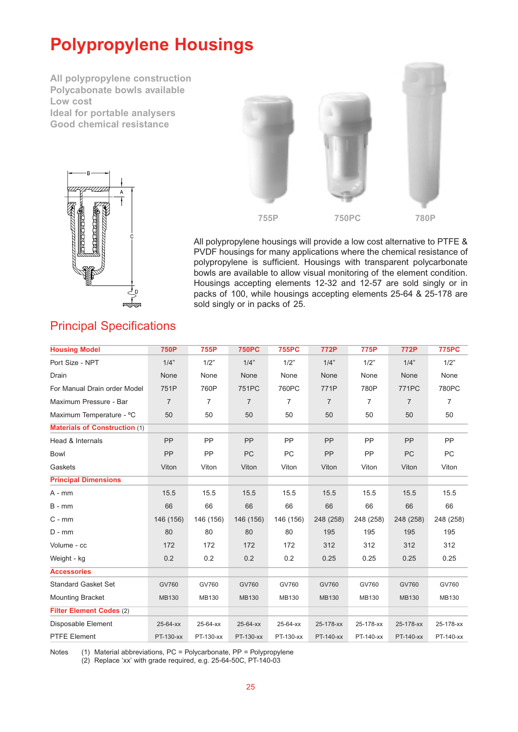# **Polypropylene Housings**

**All polypropylene construction Polycabonate bowls available Low cost Ideal for portable analysers Good chemical resistance**





All polypropylene housings will provide a low cost alternative to PTFE & PVDF housings for many applications where the chemical resistance of polypropylene is sufficient. Housings with transparent polycarbonate bowls are available to allow visual monitoring of the element condition. Housings accepting elements 12-32 and 12-57 are sold singly or in packs of 100, while housings accepting elements 25-64 & 25-178 are sold singly or in packs of 25.

## Principal Specifications

| <b>Housing Model</b>                 | <b>750P</b>    | 755P             | <b>750PC</b>   | <b>755PC</b>   | 772P           | 775P           | 772P           | <b>775PC</b>     |
|--------------------------------------|----------------|------------------|----------------|----------------|----------------|----------------|----------------|------------------|
| Port Size - NPT                      | 1/4"           | 1/2"             | 1/4"           | 1/2"           | 1/4"           | 1/2"           | 1/4"           | 1/2"             |
| Drain                                | None           | None             | None           | None           | None           | None           | None           | None             |
| For Manual Drain order Model         | 751P           | 760P             | 751PC          | 760PC          | 771P           | 780P           | <b>771PC</b>   | 780PC            |
| Maximum Pressure - Bar               | $\overline{7}$ | $\overline{7}$   | $\overline{7}$ | $\overline{7}$ | $\overline{7}$ | $\overline{7}$ | $\overline{7}$ | $\overline{7}$   |
| Maximum Temperature - °C             | 50             | 50               | 50             | 50             | 50             | 50             | 50             | 50               |
| <b>Materials of Construction (1)</b> |                |                  |                |                |                |                |                |                  |
| Head & Internals                     | PP             | PP               | PP             | PP             | PP             | PP             | PP             | PP               |
| <b>Bowl</b>                          | PP             | PP               | PC             | PC             | PP             | <b>PP</b>      | <b>PC</b>      | <b>PC</b>        |
| Gaskets                              | Viton          | Viton            | Viton          | Viton          | Viton          | Viton          | Viton          | Viton            |
| <b>Principal Dimensions</b>          |                |                  |                |                |                |                |                |                  |
| $A - mm$                             | 15.5           | 15.5             | 15.5           | 15.5           | 15.5           | 15.5           | 15.5           | 15.5             |
| $B - mm$                             | 66             | 66               | 66             | 66             | 66             | 66             | 66             | 66               |
| $C - mm$                             | 146 (156)      | 146 (156)        | 146 (156)      | 146 (156)      | 248 (258)      | 248 (258)      | 248 (258)      | 248 (258)        |
| $D - mm$                             | 80             | 80               | 80             | 80             | 195            | 195            | 195            | 195              |
| Volume - cc                          | 172            | 172              | 172            | 172            | 312            | 312            | 312            | 312              |
| Weight - kg                          | 0.2            | 0.2              | 0.2            | 0.2            | 0.25           | 0.25           | 0.25           | 0.25             |
| <b>Accessories</b>                   |                |                  |                |                |                |                |                |                  |
| <b>Standard Gasket Set</b>           | GV760          | GV760            | GV760          | GV760          | GV760          | GV760          | GV760          | GV760            |
| <b>Mounting Bracket</b>              | <b>MB130</b>   | <b>MB130</b>     | <b>MB130</b>   | MB130          | <b>MB130</b>   | <b>MB130</b>   | <b>MB130</b>   | MB130            |
| <b>Filter Element Codes (2)</b>      |                |                  |                |                |                |                |                |                  |
| Disposable Element                   | 25-64-xx       | 25-64-xx         | 25-64-xx       | 25-64-xx       | 25-178-xx      | 25-178-xx      | 25-178-xx      | 25-178-xx        |
| <b>PTFE Element</b>                  | PT-            | -xx PT-<br>$-XX$ | PT-            | -xx PT-        | -xx PT-        | -xx PT-        | $-xx$ PT $-$   | -xx PT-<br>$-XX$ |

Notes Material abbreviations, PC = Polycarbonate, PP = Polypropylene Replace 'xx' with grade required, e.g. 25-64-50C, PT--03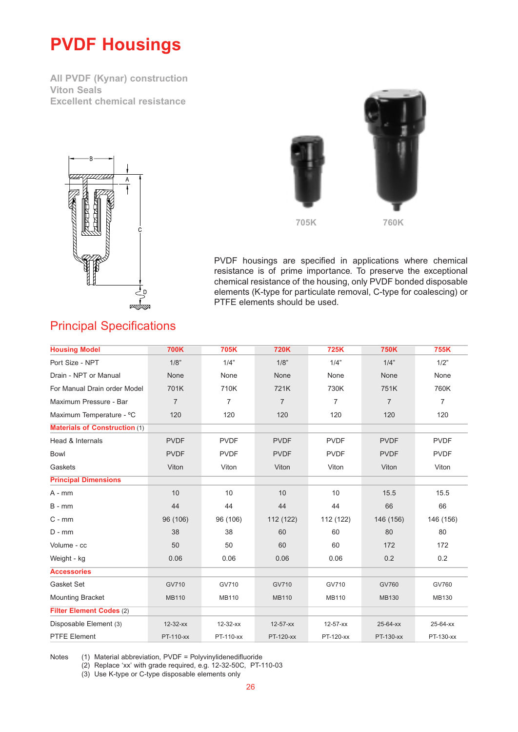# **PVDF Housings**

**All PVDF (Kynar) construction Viton Seals Excellent chemical resistance**



Principal Specifications





**705K 760K**

PVDF housings are specified in applications where chemical resistance is of prime importance. To preserve the exceptional chemical resistance of the housing, only PVDF bonded disposable elements (K-type for particulate removal, C-type for coalescing) or PTFE elements should be used.

| <b>Housing Model</b>                 | <b>700K</b>    | 705K           | <b>720K</b>    | <b>725K</b>    | <b>750K</b>    | 755K           |
|--------------------------------------|----------------|----------------|----------------|----------------|----------------|----------------|
| Port Size - NPT                      | 1/8"           | 1/4"           | 1/8"           | 1/4"           | 1/4"           | 1/2"           |
| Drain - NPT or Manual                | None           | None           | None           | None           | None           | None           |
| For Manual Drain order Model         | 701K           | 710K           | 721K           | 730K           | 751K           | 760K           |
| Maximum Pressure - Bar               | $\overline{7}$ | $\overline{7}$ | $\overline{7}$ | $\overline{7}$ | $\overline{7}$ | $\overline{7}$ |
| Maximum Temperature - °C             | 120            | 120            | 120            | 120            | 120            | 120            |
| <b>Materials of Construction (1)</b> |                |                |                |                |                |                |
| Head & Internals                     | <b>PVDF</b>    | <b>PVDF</b>    | <b>PVDF</b>    | <b>PVDF</b>    | <b>PVDF</b>    | <b>PVDF</b>    |
| <b>Bowl</b>                          | <b>PVDF</b>    | <b>PVDF</b>    | <b>PVDF</b>    | <b>PVDF</b>    | <b>PVDF</b>    | <b>PVDF</b>    |
| Gaskets                              | Viton          | Viton          | Viton          | Viton          | Viton          | Viton          |
| <b>Principal Dimensions</b>          |                |                |                |                |                |                |
| $A - mm$                             | 10             | 10             | 10             | 10             | 15.5           | 15.5           |
| $B - mm$                             | 44             | 44             | 44             | 44             | 66             | 66             |
| $C - mm$                             | 96 (106)       | 96 (106)       | 112 (122)      | 112 (122)      | 146 (156)      | 146 (156)      |
| $D - mm$                             | 38             | 38             | 60             | 60             | 80             | 80             |
| Volume - cc                          | 50             | 50             | 60             | 60             | 172            | 172            |
| Weight - kg                          | 0.06           | 0.06           | 0.06           | 0.06           | 0.2            | 0.2            |
| <b>Accessories</b>                   |                |                |                |                |                |                |
| Gasket Set                           | GV710          | GV710          | GV710          | GV710          | GV760          | GV760          |
| <b>Mounting Bracket</b>              | <b>MB110</b>   | <b>MB110</b>   | <b>MB110</b>   | <b>MB110</b>   | <b>MB130</b>   | <b>MB130</b>   |
| Filter Element Codes (2)             |                |                |                |                |                |                |
| Disposable Element (3)               | $12 - 32 - xx$ | $12 - 32 - xx$ | $12 - 57 - xx$ | $12 - 57 - xx$ | 25-64-xx       | 25-64-xx       |
| <b>PTFE Element</b>                  | PT-12-32-xx    | PT-12-32-xx    | PT-12-57-xx    | PT-12-57-xx    | PT-25-64-xx    | PT-25-64-xx    |

Notes (1) Material abbreviation, PVDF = Polyvinylidenedifluoride

(2) Replace 'xx' with grade required, e.g. 12-32-50C, PT-12-57-03

(3) Use K-type or C-type disposable elements only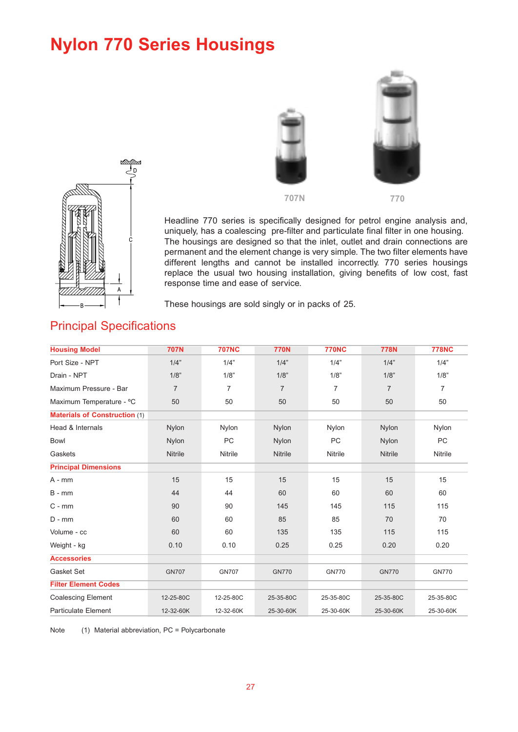# **Nylon 770 Series Housings**





Headline 770 series is specifically designed for petrol engine analysis and, uniquely, has a coalescing pre-filter and particulate final filter in one housing. The housings are designed so that the inlet, outlet and drain connections are permanent and the element change is very simple. The two filter elements have different lengths and cannot be installed incorrectly. 770 series housings replace the usual two housing installation, giving benefits of low cost, fast response time and ease of service.

These housings are sold singly or in packs of 25.

| <b>Housing Model</b>                 | <b>707N</b>    | <b>707NC</b>   | <b>770N</b>    | <b>770NC</b>   | <b>778N</b>    | <b>778NC</b>   |
|--------------------------------------|----------------|----------------|----------------|----------------|----------------|----------------|
| Port Size - NPT                      | 1/4"           | 1/4"           | 1/4"           | 1/4"           | 1/4"           | 1/4"           |
| Drain - NPT                          | 1/8"           | 1/8"           | 1/8"           | 1/8"           | 1/8"           | 1/8"           |
| Maximum Pressure - Bar               | $\overline{7}$ | 7              | $\overline{7}$ | $\overline{7}$ | $\overline{7}$ | $\overline{7}$ |
| Maximum Temperature - °C             | 50             | 50             | 50             | 50             | 50             | 50             |
| <b>Materials of Construction (1)</b> |                |                |                |                |                |                |
| Head & Internals                     | Nylon          | Nylon          | Nylon          | Nylon          | Nylon          | Nylon          |
| <b>Bowl</b>                          | Nylon          | <b>PC</b>      | Nylon          | <b>PC</b>      | Nylon          | <b>PC</b>      |
| Gaskets                              | <b>Nitrile</b> | <b>Nitrile</b> | <b>Nitrile</b> | Nitrile        | <b>Nitrile</b> | Nitrile        |
| <b>Principal Dimensions</b>          |                |                |                |                |                |                |
| $A - mm$                             | 15             | 15             | 15             | 15             | 15             | 15             |
| $B - mm$                             | 44             | 44             | 60             | 60             | 60             | 60             |
| $C - mm$                             | 90             | 90             | 145            | 145            | 115            | 115            |
| $D - mm$                             | 60             | 60             | 85             | 85             | 70             | 70             |
| Volume - cc                          | 60             | 60             | 135            | 135            | 115            | 115            |
| Weight - kg                          | 0.10           | 0.10           | 0.25           | 0.25           | 0.20           | 0.20           |
| <b>Accessories</b>                   |                |                |                |                |                |                |
| Gasket Set                           | <b>GN707</b>   | <b>GN707</b>   | <b>GN770</b>   | <b>GN770</b>   | <b>GN770</b>   | <b>GN770</b>   |
| <b>Filter Element Codes</b>          |                |                |                |                |                |                |
| <b>Coalescing Element</b>            | 12-25-80C      | 12-25-80C      | 25-35-80C      | 25-35-80C      | 25-35-80C      | 25-35-80C      |
| <b>Particulate Element</b>           | 12-32-60K      | 12-32-60K      | 25-30-60K      | 25-30-60K      | 25-30-60K      | 25-30-60K      |

### Principal Specifications

 $\overline{A}$ 

Note (1) Material abbreviation, PC = Polycarbonate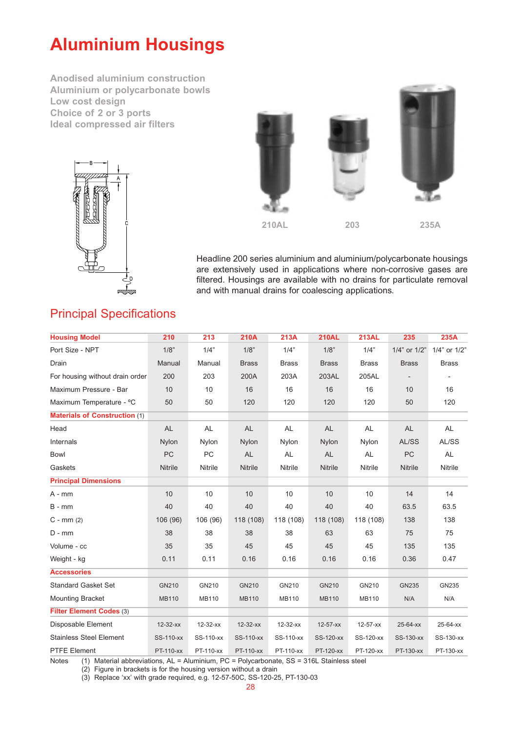# **Aluminium Housings**

**Anodised aluminium construction Aluminium or polycarbonate bowls Low cost design Choice of 2 or 3 ports Ideal compressed air filters**





Headline 200 series aluminium and aluminium/polycarbonate housings are extensively used in applications where non-corrosive gases are filtered. Housings are available with no drains for particulate removal and with manual drains for coalescing applications.

### Principal Specifications

| <b>Housing Model</b>                 | 210            | 213            | <b>210A</b>    | 213A                    | <b>210AL</b>   | <b>213AL</b>   | 235                                                                                             | 235A         |
|--------------------------------------|----------------|----------------|----------------|-------------------------|----------------|----------------|-------------------------------------------------------------------------------------------------|--------------|
| Port Size - NPT                      | 1/8"           | 1/4"           | 1/8"           | 1/4"                    | 1/8"           | 1/4"           | 1/4" or 1/2"                                                                                    | 1/4" or 1/2" |
| Drain                                | Manual         | Manual         | <b>Brass</b>   | <b>Brass</b>            | <b>Brass</b>   | <b>Brass</b>   | <b>Brass</b>                                                                                    | <b>Brass</b> |
| For housing without drain order      | 200            | 203            | 200A           | 203A                    | 203AL          | 205AL          |                                                                                                 |              |
| Maximum Pressure - Bar               | 10             | 10             | 16             | 16                      | 16             | 16             | 10                                                                                              | 16           |
| Maximum Temperature - °C             | 50             | 50             | 120            | 120                     | 120            | 120            | 50                                                                                              | 120          |
| <b>Materials of Construction (1)</b> |                |                |                |                         |                |                |                                                                                                 |              |
| Head                                 | AL             | AL             | <b>AL</b>      | AL                      | AL             | <b>AL</b>      | <b>AL</b>                                                                                       | AL           |
| Internals                            | Nylon          | Nylon          | <b>Nylon</b>   | Nylon                   | Nylon          | Nylon          | AL/SS                                                                                           | AL/SS        |
| <b>Bowl</b>                          | <b>PC</b>      | <b>PC</b>      | <b>AL</b>      | <b>AL</b>               | AL             | <b>AL</b>      | PC                                                                                              | <b>AL</b>    |
| Gaskets                              | Nitrile        | Nitrile        | <b>Nitrile</b> | Nitrile                 | <b>Nitrile</b> | Nitrile        | <b>Nitrile</b>                                                                                  | Nitrile      |
| <b>Principal Dimensions</b>          |                |                |                |                         |                |                |                                                                                                 |              |
| $A - mm$                             | 10             | 10             | 10             | 10                      | 10             | 10             | 14                                                                                              | 14           |
| $B - mm$                             | 40             | 40             | 40             | 40                      | 40             | 40             | 63.5                                                                                            | 63.5         |
| $C - mm(2)$                          | 106 (96)       | 106 (96)       | 118 (108)      | 118 (108)               | 118 (108)      | 118 (108)      | 138                                                                                             | 138          |
| $D - mm$                             | 38             | 38             | 38             | 38                      | 63             | 63             | 75                                                                                              | 75           |
| Volume - cc                          | 35             | 35             | 45             | 45                      | 45             | 45             | 135                                                                                             | 135          |
| Weight - kg                          | 0.11           | 0.11           | 0.16           | 0.16                    | 0.16           | 0.16           | 0.36                                                                                            | 0.47         |
| <b>Accessories</b>                   |                |                |                |                         |                |                |                                                                                                 |              |
| <b>Standard Gasket Set</b>           | GN210          | GN210          | GN210          | GN210                   | GN210          | GN210          | GN235                                                                                           | GN235        |
| <b>Mounting Bracket</b>              | <b>MB110</b>   | <b>MB110</b>   | <b>MB110</b>   | <b>MB110</b>            | <b>MB110</b>   | <b>MB110</b>   | N/A                                                                                             | N/A          |
| Filter Element Codes (3)             |                |                |                |                         |                |                |                                                                                                 |              |
| Disposable Element                   | $12 - 32 - xx$ | $12 - 32 - xx$ | $12 - 32 - xx$ | $12 - 32 - xx$          | $12 - 57 - xx$ | $12 - 57 - xx$ | $25 - 64 - xx$                                                                                  | 25-64-xx     |
| <b>Stainless Steel Element</b>       | SS-12-32-xx    | SS-12-32-xx    |                | SS-12-32-xx SS-12-32-xx |                |                | SS-12-57-xx SS-12-57-xx SS-25-64-xx                                                             | SS-25-64-xx  |
| <b>PTFE Element</b>                  |                |                |                |                         |                |                | PT-12-32-xx PT-12-32-xx PT-12-32-xx PT-12-32-xx PT-12-57-xx PT-12-57-xx PT-25-64-xx PT-25-64-xx |              |

Notes (1) Material abbreviations, AL = Aluminium, PC = Polycarbonate, SS = 316L Stainless steel

(2) Figure in brackets is for the housing version without a drain

(3) Replace 'xx' with grade required, e.g. 12-57-50C, SS-12-57-25, PT-25-64-03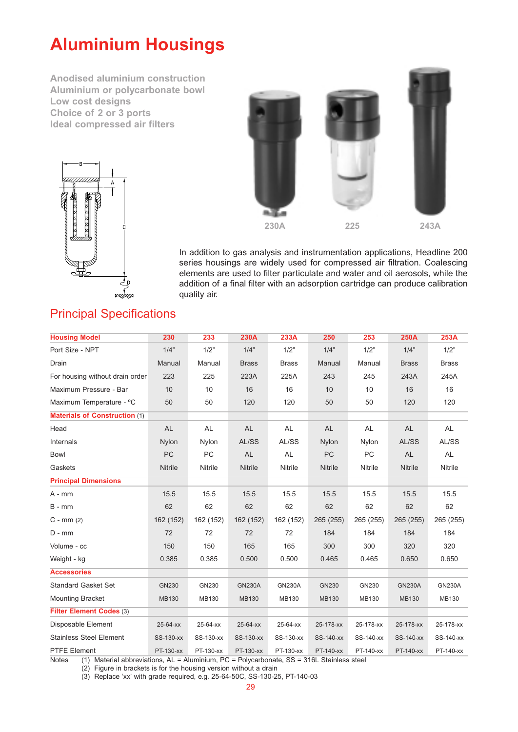# **Aluminium Housings**

**Anodised aluminium construction Aluminium or polycarbonate bowl Low cost designs Choice of 2 or 3 ports Ideal compressed air filters**





In addition to gas analysis and instrumentation applications, Headline 200 series housings are widely used for compressed air filtration. Coalescing elements are used to filter particulate and water and oil aerosols, while the addition of a final filter with an adsorption cartridge can produce calibration quality air.

### Principal Specifications

| <b>Housing Model</b>                 | 230            | 233          | <b>230A</b>    | 233A          | 250            | 253       | <b>250A</b>    | 253A                                                                                                |
|--------------------------------------|----------------|--------------|----------------|---------------|----------------|-----------|----------------|-----------------------------------------------------------------------------------------------------|
| Port Size - NPT                      | 1/4"           | 1/2"         | 1/4"           | 1/2"          | 1/4"           | 1/2"      | 1/4"           | 1/2"                                                                                                |
| Drain                                | Manual         | Manual       | <b>Brass</b>   | <b>Brass</b>  | Manual         | Manual    | <b>Brass</b>   | <b>Brass</b>                                                                                        |
| For housing without drain order      | 223            | 225          | 223A           | 225A          | 243            | 245       | 243A           | 245A                                                                                                |
| Maximum Pressure - Bar               | 10             | 10           | 16             | 16            | 10             | 10        | 16             | 16                                                                                                  |
| Maximum Temperature - °C             | 50             | 50           | 120            | 120           | 50             | 50        | 120            | 120                                                                                                 |
| <b>Materials of Construction (1)</b> |                |              |                |               |                |           |                |                                                                                                     |
| Head                                 | <b>AL</b>      | AL           | <b>AL</b>      | AL            | <b>AL</b>      | <b>AL</b> | <b>AL</b>      | <b>AL</b>                                                                                           |
| Internals                            | Nylon          | Nylon        | AL/SS          | AL/SS         | Nylon          | Nylon     | AL/SS          | AL/SS                                                                                               |
| <b>Bowl</b>                          | <b>PC</b>      | <b>PC</b>    | AL             | AL            | PC             | PC        | AL             | AL                                                                                                  |
| Gaskets                              | <b>Nitrile</b> | Nitrile      | <b>Nitrile</b> | Nitrile       | <b>Nitrile</b> | Nitrile   | <b>Nitrile</b> | <b>Nitrile</b>                                                                                      |
| <b>Principal Dimensions</b>          |                |              |                |               |                |           |                |                                                                                                     |
| $A - mm$                             | 15.5           | 15.5         | 15.5           | 15.5          | 15.5           | 15.5      | 15.5           | 15.5                                                                                                |
| $B - mm$                             | 62             | 62           | 62             | 62            | 62             | 62        | 62             | 62                                                                                                  |
| $C - mm(2)$                          | 162 (152)      | 162 (152)    | 162 (152)      | 162 (152)     | 265 (255)      | 265 (255) | 265 (255)      | 265 (255)                                                                                           |
| $D - mm$                             | 72             | 72           | 72             | 72            | 184            | 184       | 184            | 184                                                                                                 |
| Volume - cc                          | 150            | 150          | 165            | 165           | 300            | 300       | 320            | 320                                                                                                 |
| Weight - kg                          | 0.385          | 0.385        | 0.500          | 0.500         | 0.465          | 0.465     | 0.650          | 0.650                                                                                               |
| <b>Accessories</b>                   |                |              |                |               |                |           |                |                                                                                                     |
| <b>Standard Gasket Set</b>           | GN230          | GN230        | <b>GN230A</b>  | <b>GN230A</b> | GN230          | GN230     | <b>GN230A</b>  | <b>GN230A</b>                                                                                       |
| <b>Mounting Bracket</b>              | <b>MB130</b>   | <b>MB130</b> | <b>MB130</b>   | MB130         | <b>MB130</b>   | MB130     | <b>MB130</b>   | MB130                                                                                               |
| Filter Element Codes (3)             |                |              |                |               |                |           |                |                                                                                                     |
| Disposable Element                   | 25-64-xx       | 25-64-xx     | 25-64-xx       | 25-64-xx      | 25-178-xx      | 25-178-xx | 25-178-xx      | 25-178-xx                                                                                           |
| <b>Stainless Steel Element</b>       | SS-25-64-xx    | SS-25-64-xx  | SS-25-64-xx    |               |                |           |                | SS-25-64-xx SS-25-178-xx SS-25-178-xx SS-25-178-xx SS-25-178-xx                                     |
| <b>PTFE Element</b>                  |                |              |                |               |                |           |                | PT-25-64-xx PT-25-64-xx PT-25-64-xx PT-25-64-xx PT-25-178-xx PT-25-178-xx PT-25-178-xx PT-25-178-xx |

Notes (1) Material abbreviations, AL = Aluminium, PC = Polycarbonate, SS = 316L Stainless steel

(2) Figure in brackets is for the housing version without a drain

(3) Replace 'xx' with grade required, e.g. 25-64-50C, SS-25-64-25, PT-25-178-03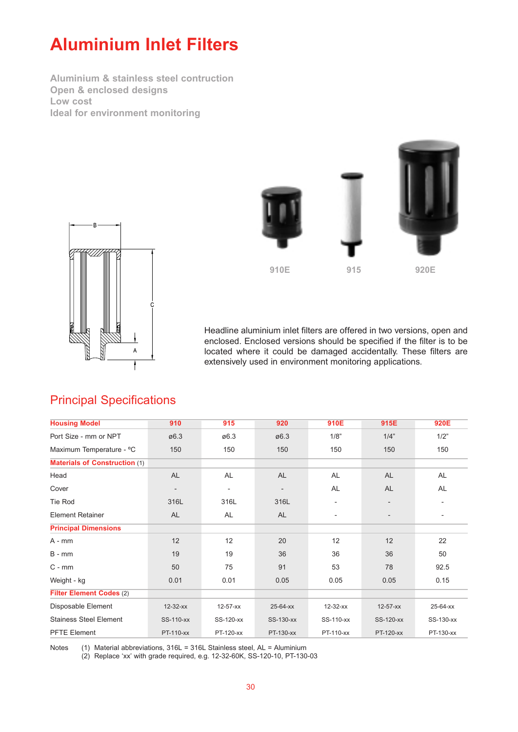# **Aluminium Inlet Filters**

**Aluminium & stainless steel contruction Open & enclosed designs Low cost Ideal for environment monitoring**





Headline aluminium inlet filters are offered in two versions, open and enclosed. Enclosed versions should be specified if the filter is to be located where it could be damaged accidentally. These filters are extensively used in environment monitoring applications.

| <b>Housing Model</b>                 | 910               | 915                      | 920                      | 910E                         | 915E                     | 920E                     |
|--------------------------------------|-------------------|--------------------------|--------------------------|------------------------------|--------------------------|--------------------------|
| Port Size - mm or NPT                | ø6.3              | ø6.3                     | $\varnothing$ 6.3        | 1/8"                         | 1/4"                     | 1/2"                     |
| Maximum Temperature - °C             | 150               | 150                      | 150                      | 150                          | 150                      | 150                      |
| <b>Materials of Construction (1)</b> |                   |                          |                          |                              |                          |                          |
| Head                                 | <b>AL</b>         | AL                       | <b>AL</b>                | <b>AL</b>                    | <b>AL</b>                | AL                       |
| Cover                                | $\qquad \qquad -$ | $\overline{\phantom{a}}$ | $\overline{\phantom{0}}$ | AL                           | <b>AL</b>                | AL                       |
| Tie Rod                              | 316L              | 316L                     | 316L                     | ۰                            |                          |                          |
| <b>Element Retainer</b>              | <b>AL</b>         | AL                       | <b>AL</b>                | $\qquad \qquad \blacksquare$ | $\overline{\phantom{a}}$ | $\overline{\phantom{a}}$ |
| <b>Principal Dimensions</b>          |                   |                          |                          |                              |                          |                          |
| A - mm                               | 12                | 12                       | 20                       | 12                           | 12                       | 22                       |
| $B - mm$                             | 19                | 19                       | 36                       | 36                           | 36                       | 50                       |
| $C - mm$                             | 50                | 75                       | 91                       | 53                           | 78                       | 92.5                     |
| Weight - kg                          | 0.01              | 0.01                     | 0.05                     | 0.05                         | 0.05                     | 0.15                     |
| Filter Element Codes (2)             |                   |                          |                          |                              |                          |                          |
| Disposable Element                   | $12 - 32 - xx$    | $12 - 57 - xx$           | 25-64-xx                 | $12 - 32 - xx$               | $12 - 57 - xx$           | 25-64-xx                 |
| <b>Stainess Steel Element</b>        | SS-12-32-xx       | SS-12-57-xx              | SS-25-64-xx              | SS-12-32-xx                  | SS-12-57-xx              | SS-25-64-xx              |
| <b>PFTE Element</b>                  | PT-12-32-xx       | PT-12-57-xx              | PT-25-64-xx              | PT-12-32-xx                  | PT-12-57-xx              | PT-25-64-xx              |

### Principal Specifications

Notes (1) Material abbreviations, 316L = 316L Stainless steel, AL = Aluminium

(2) Replace 'xx' with grade required, e.g. 12-32-60K, SS-12-57-10, PT-25-64-03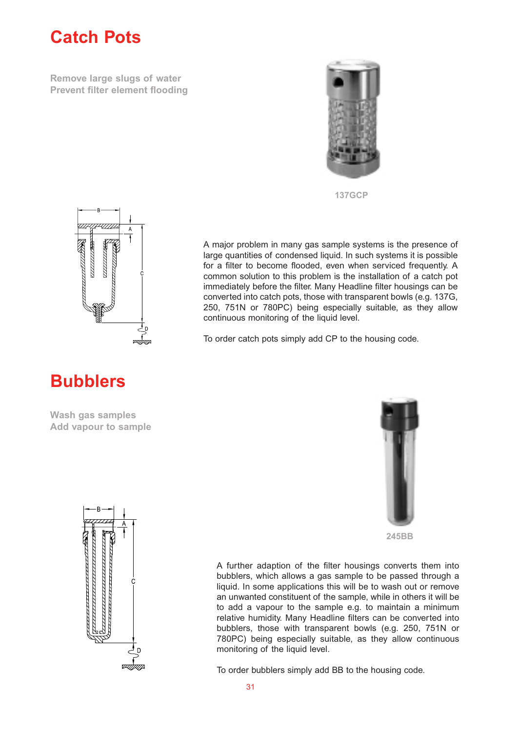# **Catch Pots**

**Remove large slugs of water Prevent filter element flooding**



**137GCP**

A major problem in many gas sample systems is the presence of large quantities of condensed liquid. In such systems it is possible for a filter to become flooded, even when serviced frequently. A common solution to this problem is the installation of a catch pot immediately before the filter. Many Headline filter housings can be converted into catch pots, those with transparent bowls (e.g. 137G, 250, 751N or 780PC) being especially suitable, as they allow

continuous monitoring of the liquid level.

To order catch pots simply add CP to the housing code.



# **Bubblers**

**Wash gas samples Add vapour to sample**



**245BB**



A further adaption of the filter housings converts them into bubblers, which allows a gas sample to be passed through a liquid. In some applications this will be to wash out or remove an unwanted constituent of the sample, while in others it will be to add a vapour to the sample e.g. to maintain a minimum relative humidity. Many Headline filters can be converted into bubblers, those with transparent bowls (e.g. 250, 751N or 780PC) being especially suitable, as they allow continuous monitoring of the liquid level.

To order bubblers simply add BB to the housing code.